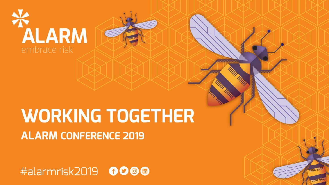

## **WORKING TOGETHER ALARM CONFERENCE 2019**

#alarmrisk2019 0000

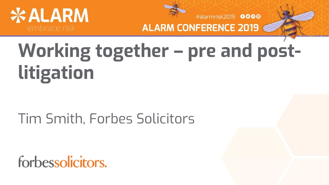



**ALARM CONFERENCE 2019** 

# **Working together – pre and postlitigation**

### Tim Smith, Forbes Solicitors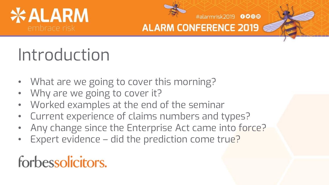



#alarmrisk2019 0000

## Introduction

- What are we going to cover this morning?
- Why are we going to cover it?
- Worked examples at the end of the seminar
- Current experience of claims numbers and types?
- Any change since the Enterprise Act came into force?
- Expert evidence did the prediction come true?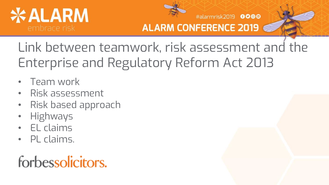



#alarmrisk2019 0000

Link between teamwork, risk assessment and the Enterprise and Regulatory Reform Act 2013

- Team work
- Risk assessment
- Risk based approach
- Highways
- EL claims
- PL claims.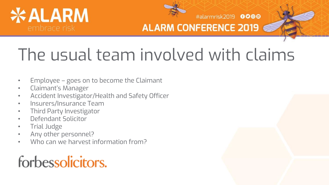



#alarmrisk2019 0000

# The usual team involved with claims

- Employee goes on to become the Claimant
- Claimant's Manager
- Accident Investigator/Health and Safety Officer
- Insurers/Insurance Team
- Third Party Investigator
- Defendant Solicitor
- Trial Judge
- Any other personnel?
- Who can we harvest information from?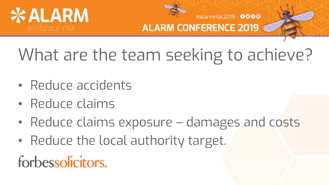



#alarmrisk2019 0000

# What are the team seeking to achieve?

- Reduce accidents
- Reduce claims
- Reduce claims exposure damages and costs
- Reduce the local authority target.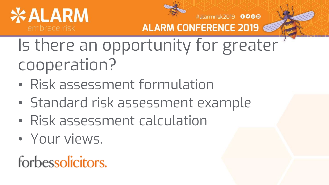



ALARM CONFERENCE 2019

Is there an opportunity for greater cooperation?

- Risk assessment formulation
- Standard risk assessment example
- Risk assessment calculation
- Your views.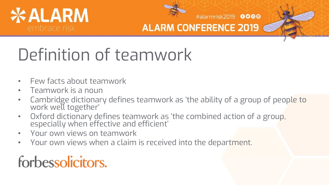



#alarmrisk2019 0000

# Definition of teamwork

- Few facts about teamwork
- Teamwork is a noun
- Cambridge dictionary defines teamwork as 'the ability of a group of people to work well together'
- Oxford dictionary defines teamwork as 'the combined action of a group, especially when effective and efficient'
- Your own views on teamwork
- Your own views when a claim is received into the department.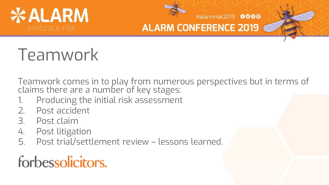



#alarmrisk2019 0000

## Teamwork

Teamwork comes in to play from numerous perspectives but in terms of claims there are a number of key stages:

- 1. Producing the initial risk assessment
- 2. Post accident
- 3. Post claim
- 4. Post litigation
- 5. Post trial/settlement review lessons learned.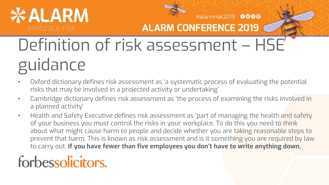# **\*ALARM**



#alarmrisk2019 0000 **ALARM CONFERENCE 2019** 

# Definition of risk assessment – HSE guidance

- Oxford dictionary defines risk assessment as 'a systematic process of evaluating the potential risks that may be involved in a projected activity or undertaking'
- Cambridge dictionary defines risk assessment as 'the process of examining the risks involved in a planned activity'
- Health and Safety Executive defines risk assessment as 'part of managing the health and safety of your business you must control the risks in your workplace. To do this you need to think about what might cause harm to people and decide whether you are taking reasonable steps to prevent that harm. This is known as risk assessment and is it something you are required by law to carry out. **If you have fewer than five employees you don't have to write anything down.**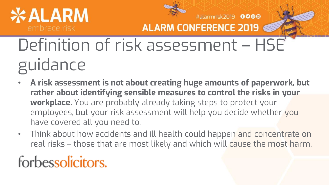# **\* ALARM**



#alarmrisk2019 0000

**ALARM CONFERENCE 2019** 

Definition of risk assessment – HSE guidance

- **A risk assessment is not about creating huge amounts of paperwork, but rather about identifying sensible measures to control the risks in your workplace.** You are probably already taking steps to protect your employees, but your risk assessment will help you decide whether you have covered all you need to.
- Think about how accidents and ill health could happen and concentrate on real risks – those that are most likely and which will cause the most harm.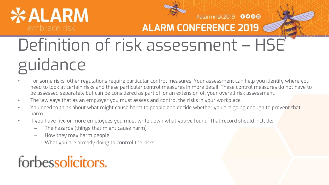# **\*ALARM**



#alarmrisk2019 0000

**ALARM CONFERENCE 2019** 

# Definition of risk assessment – HSE guidance

- For some risks, other regulations require particular control measures. Your assessment can help you identify where you need to look at certain risks and these particular control measures in more detail. These control measures do not have to be assessed separately but can be considered as part of, or an extension of, your overall risk assessment.
- The law says that as an employer you must assess and control the risks in your workplace.
- You need to think about what might cause harm to people and decide whether you are going enough to prevent that harm.
- If you have five or more employees you must write down what you've found. That record should include:
	- The hazards (things that might cause harm)
	- How they may harm people
	- What you are already doing to control the risks.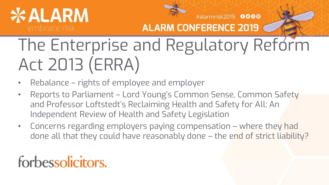# **\*ALARM**



#alarmrisk2019 0000

**ALARM CONFERENCE 2019** 

# The Enterprise and Regulatory Reform Act 2013 (ERRA)

- Rebalance rights of employee and employer
- Reports to Parliament Lord Young's Common Sense, Common Safety and Professor Loftstedt's Reclaiming Health and Safety for All: An Independent Review of Health and Safety Legislation
- Concerns regarding employers paying compensation where they had done all that they could have reasonably done – the end of strict liability?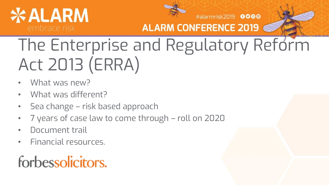



**ALARM CONFERENCE 2019** 

# The Enterprise and Regulatory Reform Act 2013 (ERRA)

- What was new?
- What was different?
- Sea change risk based approach
- 7 years of case law to come through roll on 2020
- Document trail
- Financial resources.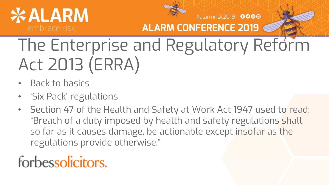



**ALARM CONFERENCE 2019** 

The Enterprise and Regulatory Reform Act 2013 (ERRA)

- Back to basics
- 'Six Pack' regulations
- Section 47 of the Health and Safety at Work Act 1947 used to read: "Breach of a duty imposed by health and safety regulations shall, so far as it causes damage, be actionable except insofar as the regulations provide otherwise."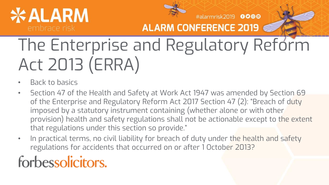



**ALARM CONFERENCE 2019** 

# The Enterprise and Regulatory Reform Act 2013 (ERRA)

- Back to basics
- Section 47 of the Health and Safety at Work Act 1947 was amended by Section 69 of the Enterprise and Regulatory Reform Act 2017 Section 47 (2): "Breach of duty imposed by a statutory instrument containing (whether alone or with other provision) health and safety regulations shall not be actionable except to the extent that regulations under this section so provide."
- In practical terms, no civil liability for breach of duty under the health and safety regulations for accidents that occurred on or after 1 October 2013?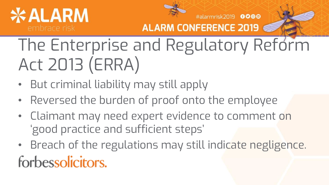



**ALARM CONFERENCE 2019** 

The Enterprise and Regulatory Reform Act 2013 (ERRA)

- But criminal liability may still apply
- Reversed the burden of proof onto the employee
- Claimant may need expert evidence to comment on 'good practice and sufficient steps'
- Breach of the regulations may still indicate negligence. forbessolicitors.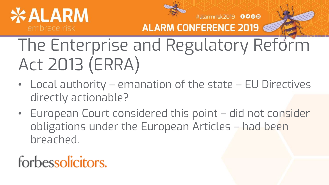



#alarmrisk2019 0000 **ALARM CONFERENCE 2019** 

The Enterprise and Regulatory Reform Act 2013 (ERRA)

- Local authority emanation of the state EU Directives directly actionable?
- European Court considered this point did not consider obligations under the European Articles – had been breached.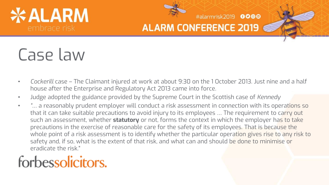# **<ALARM**



#### **ALARM CONFERENCE 2019**

#alarmrisk2019 0000

## Case law

- *Cockerill* case The Claimant injured at work at about 9:30 on the 1 October 2013. Just nine and a half house after the Enterprise and Regulatory Act 2013 came into force.
- Judge adopted the guidance provided by the Supreme Court in the Scottish case of *Kennedy*
- *"*… a reasonably prudent employer will conduct a risk assessment in connection with its operations so that it can take suitable precautions to avoid injury to its employees … The requirement to carry out such an assessment, whether **statutory** or not, forms the context in which the employer has to take precautions in the exercise of reasonable care for the safety of its employees. That is because the whole point of a risk assessment is to identify whether the particular operation gives rise to any risk to safety and, if so, what is the extent of that risk, and what can and should be done to minimise or eradicate the risk."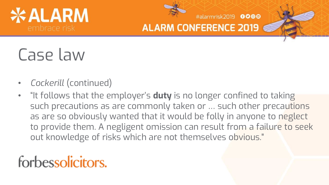



#alarmrisk2019 0000

## Case law

- *Cockerill* (continued)
- "It follows that the employer's **duty** is no longer confined to taking such precautions as are commonly taken or … such other precautions as are so obviously wanted that it would be folly in anyone to neglect to provide them. A negligent omission can result from a failure to seek out knowledge of risks which are not themselves obvious."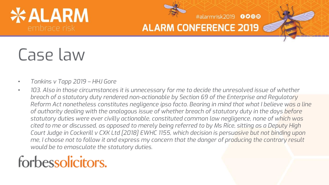# **¢ALARM**



**ALARM CONFERENCE 2019** 

#alarmrisk2019 0000

## Case law

- *Tonkins v Tapp 2019 – HHJ Gore*
- *103. Also in those circumstances it is unnecessary for me to decide the unresolved issue of whether breach of a statutory duty rendered non-actionable by Section 69 of the Enterprise and Regulatory Reform Act nonetheless constitutes negligence ipso facto. Bearing in mind that what I believe was a line of authority dealing with the analogous issue of whether breach of statutory duty in the days before statutory duties were ever civilly actionable, constituted common law negligence, none of which was cited to me or discussed, as opposed to merely being referred to by Ms Rice, sitting as a Deputy High Court Judge in Cockerill v CXK Ltd [2018] EWHC 1155, which decision is persuasive but not binding upon me, I choose not to follow it and express my concern that the danger of producing the contrary result would be to emasculate the statutory duties.*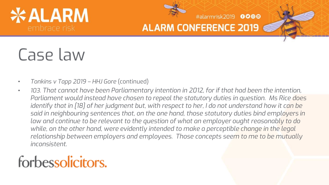# **\*ALARM**



**ALARM CONFERENCE 2019** 

#alarmrisk2019 0000

## Case law

- *Tonkins v Tapp 2019 – HHJ Gore* (continued)
- *103. That cannot have been Parliamentary intention in 2012, for if that had been the intention, Parliament would instead have chosen to repeal the statutory duties in question. Ms Rice does identify that in [18] of her judgment but, with respect to her, I do not understand how it can be said in neighbouring sentences that, on the one hand, those statutory duties bind employers in law and continue to be relevant to the question of what an employer ought reasonably to do while, on the other hand, were evidently intended to make a perceptible change in the legal relationship between employers and employees. Those concepts seem to me to be mutually inconsistent.*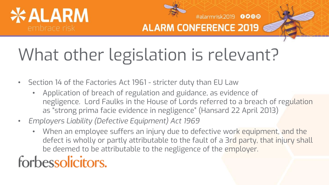



#alarmrisk2019 0000

# What other legislation is relevant?

- Section 14 of the Factories Act 1961 stricter duty than EU Law
	- Application of breach of regulation and guidance, as evidence of negligence. Lord Faulks in the House of Lords referred to a breach of regulation as "strong prima facie evidence in negligence" (Hansard 22 April 2013)
- *Employers Liability (Defective Equipment) Act 1969*
	- When an employee suffers an injury due to defective work equipment, and the defect is wholly or partly attributable to the fault of a 3rd party, that injury shall be deemed to be attributable to the negligence of the employer.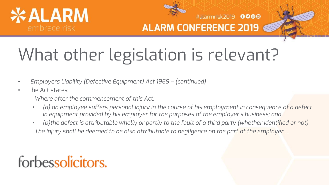



#alarmrisk2019 0000

# What other legislation is relevant?

- *Employers Liability (Defective Equipment) Act 1969 – (continued)*
- The Act states:
	- *Where after the commencement of this Act:*
	- *(a) an employee suffers personal injury in the course of his employment in consequence of a defect in equipment provided by his employer for the purposes of the employer's business; and*
	- *(b)the defect is attributable wholly or partly to the fault of a third party (whether identified or not) The injury shall be deemed to be also attributable to negligence on the part of the employer…..*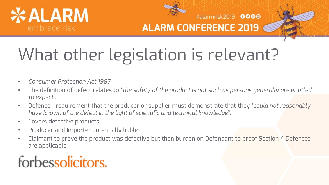



#alarmrisk2019 0000

# What other legislation is relevant?

- *Consumer Protection Act 1987*
- The definition of defect relates to "*the safety of the product is not such as persons generally are entitled to expect*".
- Defence requirement that the producer or supplier must demonstrate that they "*could not reasonably have known of the defect in the light of scientific and technical knowledge*".
- Covers defective products
- Producer and Importer potentially liable
- Claimant to prove the product was defective but then burden on Defendant to proof Section 4 Defences are applicable.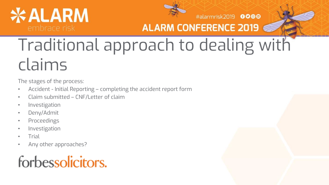# *\*ALARM*



#alarmrisk2019 0000

#### **ALARM CONFERENCE 2019**

## Traditional approach to dealing with claims

The stages of the process:

- Accident Initial Reporting completing the accident report form
- Claim submitted CNF/Letter of claim
- Investigation
- Deny/Admit
- Proceedings
- **Investigation**
- Trial
- Any other approaches?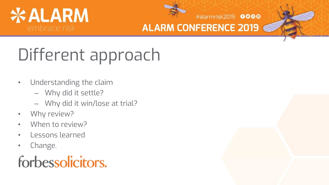



#### **ALARM CONFERENCE 2019**

# Different approach

- Understanding the claim
	- Why did it settle?
	- Why did it win/lose at trial?
- Why review?
- When to review?
- Lessons learned
- Change.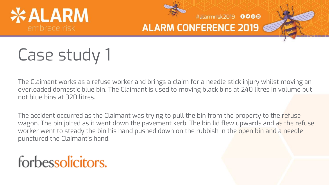



#alarmrisk2019 0000

## Case study 1

The Claimant works as a refuse worker and brings a claim for a needle stick injury whilst moving an overloaded domestic blue bin. The Claimant is used to moving black bins at 240 litres in volume but not blue bins at 320 litres.

The accident occurred as the Claimant was trying to pull the bin from the property to the refuse wagon. The bin jolted as it went down the pavement kerb. The bin lid flew upwards and as the refuse worker went to steady the bin his hand pushed down on the rubbish in the open bin and a needle punctured the Claimant's hand.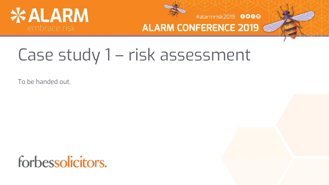



**ALARM CONFERENCE 2019** 

## Case study 1 – risk assessment

To be handed out.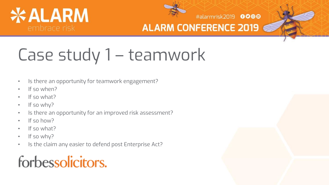



#alarmrisk2019 0000

## Case study 1 – teamwork

- Is there an opportunity for teamwork engagement?
- If so when?
- If so what?
- If so why?
- Is there an opportunity for an improved risk assessment?
- If so how?
- If so what?
- If so why?
- Is the claim any easier to defend post Enterprise Act?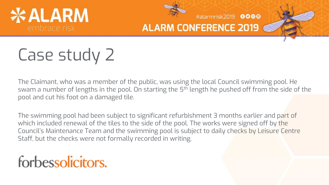



#alarmrisk2019 0000

## Case study 2

The Claimant, who was a member of the public, was using the local Council swimming pool. He swam a number of lengths in the pool. On starting the 5<sup>th</sup> length he pushed off from the side of the pool and cut his foot on a damaged tile.

The swimming pool had been subject to significant refurbishment 3 months earlier and part of which included renewal of the tiles to the side of the pool. The works were signed off by the Council's Maintenance Team and the swimming pool is subject to daily checks by Leisure Centre Staff, but the checks were not formally recorded in writing.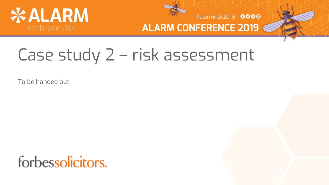



#alarmrisk2019 0000 **ALARM CONFERENCE 2019** 

## Case study 2 – risk assessment

To be handed out.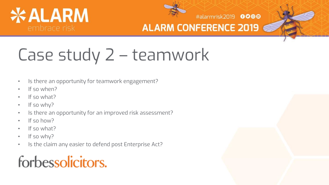



#alarmrisk2019 0000

# Case study 2 – teamwork

- Is there an opportunity for teamwork engagement?
- If so when?
- If so what?
- If so why?
- Is there an opportunity for an improved risk assessment?
- If so how?
- If so what?
- If so why?
- Is the claim any easier to defend post Enterprise Act?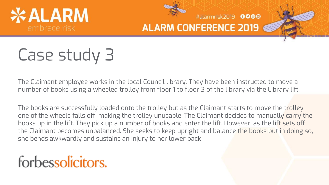



#alarmrisk2019 0000

## Case study 3

The Claimant employee works in the local Council library. They have been instructed to move a number of books using a wheeled trolley from floor 1 to floor 3 of the library via the Library lift.

The books are successfully loaded onto the trolley but as the Claimant starts to move the trolley one of the wheels falls off, making the trolley unusable. The Claimant decides to manually carry the books up in the lift. They pick up a number of books and enter the lift. However, as the lift sets off the Claimant becomes unbalanced. She seeks to keep upright and balance the books but in doing so, she bends awkwardly and sustains an injury to her lower back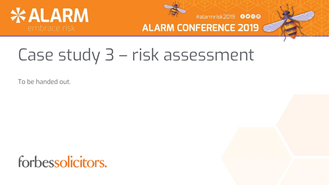



#### **ALARM CONFERENCE 2019**

## Case study 3 – risk assessment

To be handed out.